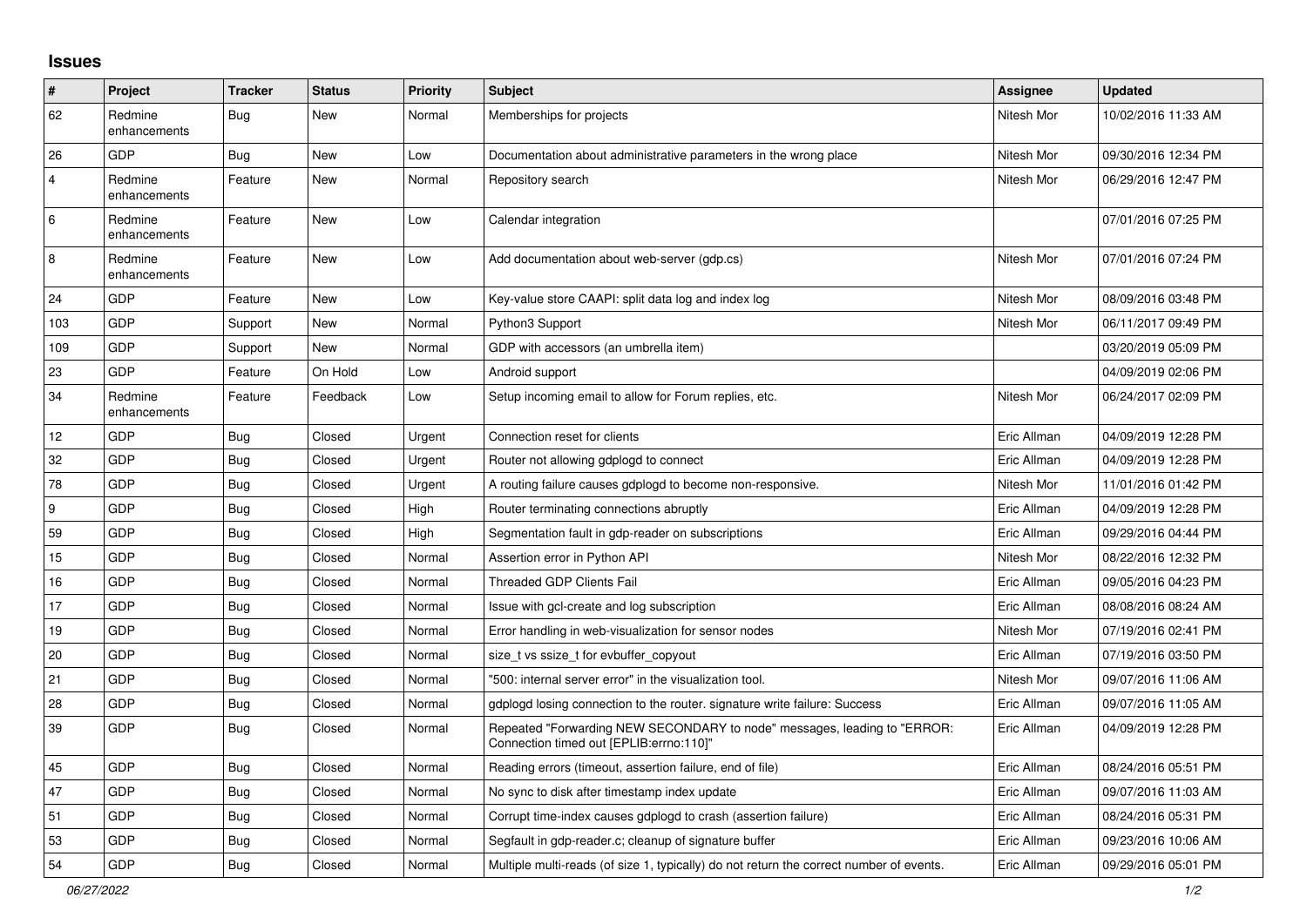## **Issues**

| #              | Project                 | <b>Tracker</b> | <b>Status</b> | <b>Priority</b> | Subject                                                                                                             | Assignee    | <b>Updated</b>      |
|----------------|-------------------------|----------------|---------------|-----------------|---------------------------------------------------------------------------------------------------------------------|-------------|---------------------|
| 62             | Redmine<br>enhancements | <b>Bug</b>     | New           | Normal          | Memberships for projects                                                                                            | Nitesh Mor  | 10/02/2016 11:33 AM |
| 26             | <b>GDP</b>              | Bug            | New           | Low             | Documentation about administrative parameters in the wrong place                                                    | Nitesh Mor  | 09/30/2016 12:34 PM |
| $\overline{4}$ | Redmine<br>enhancements | Feature        | New           | Normal          | Repository search                                                                                                   | Nitesh Mor  | 06/29/2016 12:47 PM |
| 6              | Redmine<br>enhancements | Feature        | New           | Low             | Calendar integration                                                                                                |             | 07/01/2016 07:25 PM |
| 8              | Redmine<br>enhancements | Feature        | New           | Low             | Add documentation about web-server (gdp.cs)                                                                         | Nitesh Mor  | 07/01/2016 07:24 PM |
| 24             | <b>GDP</b>              | Feature        | <b>New</b>    | Low             | Key-value store CAAPI: split data log and index log                                                                 | Nitesh Mor  | 08/09/2016 03:48 PM |
| 103            | <b>GDP</b>              | Support        | New           | Normal          | Python3 Support                                                                                                     | Nitesh Mor  | 06/11/2017 09:49 PM |
| 109            | <b>GDP</b>              | Support        | <b>New</b>    | Normal          | GDP with accessors (an umbrella item)                                                                               |             | 03/20/2019 05:09 PM |
| 23             | <b>GDP</b>              | Feature        | On Hold       | Low             | Android support                                                                                                     |             | 04/09/2019 02:06 PM |
| 34             | Redmine<br>enhancements | Feature        | Feedback      | Low             | Setup incoming email to allow for Forum replies, etc.                                                               | Nitesh Mor  | 06/24/2017 02:09 PM |
| 12             | GDP                     | <b>Bug</b>     | Closed        | Urgent          | Connection reset for clients                                                                                        | Eric Allman | 04/09/2019 12:28 PM |
| 32             | <b>GDP</b>              | <b>Bug</b>     | Closed        | Urgent          | Router not allowing gdplogd to connect                                                                              | Eric Allman | 04/09/2019 12:28 PM |
| 78             | <b>GDP</b>              | <b>Bug</b>     | Closed        | Urgent          | A routing failure causes gdplogd to become non-responsive.                                                          | Nitesh Mor  | 11/01/2016 01:42 PM |
| 9              | <b>GDP</b>              | <b>Bug</b>     | Closed        | High            | Router terminating connections abruptly                                                                             | Eric Allman | 04/09/2019 12:28 PM |
| 59             | <b>GDP</b>              | <b>Bug</b>     | Closed        | High            | Segmentation fault in gdp-reader on subscriptions                                                                   | Eric Allman | 09/29/2016 04:44 PM |
| 15             | GDP                     | Bug            | Closed        | Normal          | Assertion error in Python API                                                                                       | Nitesh Mor  | 08/22/2016 12:32 PM |
| 16             | <b>GDP</b>              | <b>Bug</b>     | Closed        | Normal          | Threaded GDP Clients Fail                                                                                           | Eric Allman | 09/05/2016 04:23 PM |
| 17             | <b>GDP</b>              | <b>Bug</b>     | Closed        | Normal          | Issue with gcl-create and log subscription                                                                          | Eric Allman | 08/08/2016 08:24 AM |
| 19             | <b>GDP</b>              | <b>Bug</b>     | Closed        | Normal          | Error handling in web-visualization for sensor nodes                                                                | Nitesh Mor  | 07/19/2016 02:41 PM |
| 20             | <b>GDP</b>              | <b>Bug</b>     | Closed        | Normal          | size_t vs ssize_t for evbuffer_copyout                                                                              | Eric Allman | 07/19/2016 03:50 PM |
| 21             | <b>GDP</b>              | <b>Bug</b>     | Closed        | Normal          | "500: internal server error" in the visualization tool.                                                             | Nitesh Mor  | 09/07/2016 11:06 AM |
| 28             | <b>GDP</b>              | <b>Bug</b>     | Closed        | Normal          | gdplogd losing connection to the router, signature write failure: Success                                           | Eric Allman | 09/07/2016 11:05 AM |
| 39             | GDP                     | <b>Bug</b>     | Closed        | Normal          | Repeated "Forwarding NEW SECONDARY to node" messages, leading to "ERROR:<br>Connection timed out [EPLIB:errno:110]" | Eric Allman | 04/09/2019 12:28 PM |
| 45             | <b>GDP</b>              | <b>Bug</b>     | Closed        | Normal          | Reading errors (timeout, assertion failure, end of file)                                                            | Eric Allman | 08/24/2016 05:51 PM |
| 47             | <b>GDP</b>              | Bug            | Closed        | Normal          | No sync to disk after timestamp index update                                                                        | Eric Allman | 09/07/2016 11:03 AM |
| 51             | <b>GDP</b>              | Bug            | Closed        | Normal          | Corrupt time-index causes gdplogd to crash (assertion failure)                                                      | Eric Allman | 08/24/2016 05:31 PM |
| 53             | <b>GDP</b>              | Bug            | Closed        | Normal          | Segfault in gdp-reader.c; cleanup of signature buffer                                                               | Eric Allman | 09/23/2016 10:06 AM |
| 54             | <b>GDP</b>              | Bug            | Closed        | Normal          | Multiple multi-reads (of size 1, typically) do not return the correct number of events.                             | Eric Allman | 09/29/2016 05:01 PM |